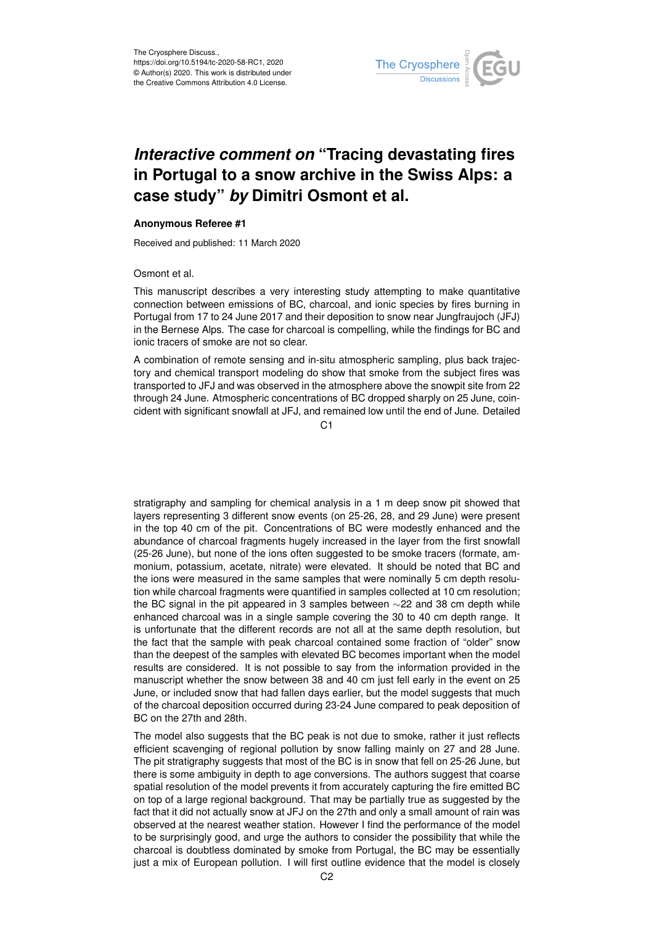

## *Interactive comment on* **"Tracing devastating fires in Portugal to a snow archive in the Swiss Alps: a case study"** *by* **Dimitri Osmont et al.**

## **Anonymous Referee #1**

Received and published: 11 March 2020

Osmont et al.

This manuscript describes a very interesting study attempting to make quantitative connection between emissions of BC, charcoal, and ionic species by fires burning in Portugal from 17 to 24 June 2017 and their deposition to snow near Jungfraujoch (JFJ) in the Bernese Alps. The case for charcoal is compelling, while the findings for BC and ionic tracers of smoke are not so clear.

A combination of remote sensing and in-situ atmospheric sampling, plus back trajectory and chemical transport modeling do show that smoke from the subject fires was transported to JFJ and was observed in the atmosphere above the snowpit site from 22 through 24 June. Atmospheric concentrations of BC dropped sharply on 25 June, coincident with significant snowfall at JFJ, and remained low until the end of June. Detailed

 $C<sub>1</sub>$ 

stratigraphy and sampling for chemical analysis in a 1 m deep snow pit showed that layers representing 3 different snow events (on 25-26, 28, and 29 June) were present in the top 40 cm of the pit. Concentrations of BC were modestly enhanced and the abundance of charcoal fragments hugely increased in the layer from the first snowfall (25-26 June), but none of the ions often suggested to be smoke tracers (formate, ammonium, potassium, acetate, nitrate) were elevated. It should be noted that BC and the ions were measured in the same samples that were nominally 5 cm depth resolution while charcoal fragments were quantified in samples collected at 10 cm resolution; the BC signal in the pit appeared in 3 samples between ∼22 and 38 cm depth while enhanced charcoal was in a single sample covering the 30 to 40 cm depth range. It is unfortunate that the different records are not all at the same depth resolution, but the fact that the sample with peak charcoal contained some fraction of "older" snow than the deepest of the samples with elevated BC becomes important when the model results are considered. It is not possible to say from the information provided in the manuscript whether the snow between 38 and 40 cm just fell early in the event on 25 June, or included snow that had fallen days earlier, but the model suggests that much of the charcoal deposition occurred during 23-24 June compared to peak deposition of BC on the 27th and 28th.

The model also suggests that the BC peak is not due to smoke, rather it just reflects efficient scavenging of regional pollution by snow falling mainly on 27 and 28 June. The pit stratigraphy suggests that most of the BC is in snow that fell on 25-26 June, but there is some ambiguity in depth to age conversions. The authors suggest that coarse spatial resolution of the model prevents it from accurately capturing the fire emitted BC on top of a large regional background. That may be partially true as suggested by the fact that it did not actually snow at JFJ on the 27th and only a small amount of rain was observed at the nearest weather station. However I find the performance of the model to be surprisingly good, and urge the authors to consider the possibility that while the charcoal is doubtless dominated by smoke from Portugal, the BC may be essentially just a mix of European pollution. I will first outline evidence that the model is closely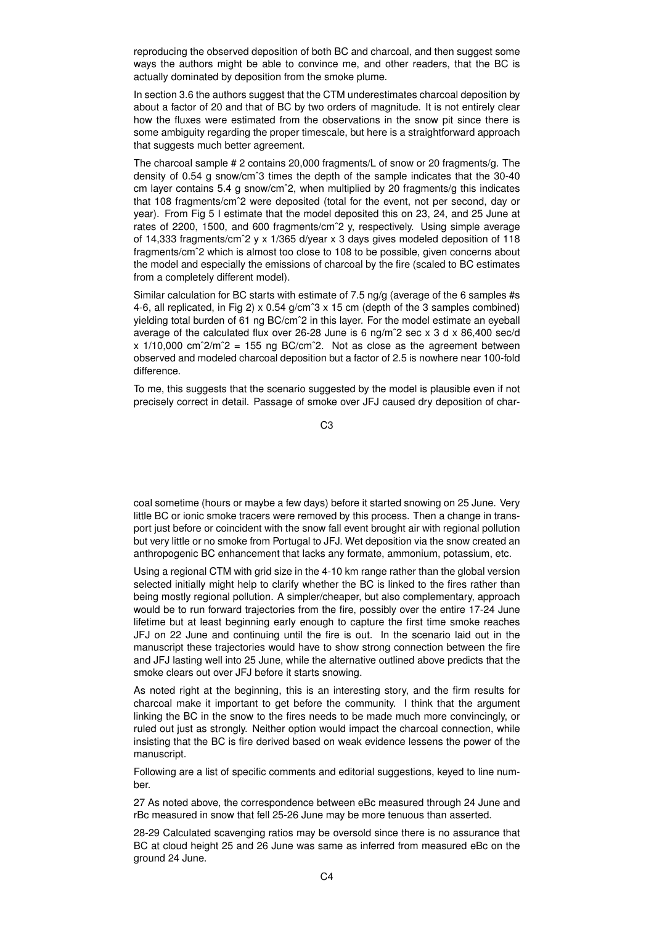reproducing the observed deposition of both BC and charcoal, and then suggest some ways the authors might be able to convince me, and other readers, that the BC is actually dominated by deposition from the smoke plume.

In section 3.6 the authors suggest that the CTM underestimates charcoal deposition by about a factor of 20 and that of BC by two orders of magnitude. It is not entirely clear how the fluxes were estimated from the observations in the snow pit since there is some ambiguity regarding the proper timescale, but here is a straightforward approach that suggests much better agreement.

The charcoal sample # 2 contains 20,000 fragments/L of snow or 20 fragments/g. The density of 0.54 g snow/cmˆ3 times the depth of the sample indicates that the 30-40 cm layer contains 5.4 g snow/cmˆ2, when multiplied by 20 fragments/g this indicates that 108 fragments/cmˆ2 were deposited (total for the event, not per second, day or year). From Fig 5 I estimate that the model deposited this on 23, 24, and 25 June at rates of 2200, 1500, and 600 fragments/cmˆ2 y, respectively. Using simple average of 14,333 fragments/cmˆ2 y x 1/365 d/year x 3 days gives modeled deposition of 118 fragments/cmˆ2 which is almost too close to 108 to be possible, given concerns about the model and especially the emissions of charcoal by the fire (scaled to BC estimates from a completely different model).

Similar calculation for BC starts with estimate of 7.5 ng/g (average of the 6 samples #s 4-6, all replicated, in Fig 2)  $\times$  0.54 g/cm<sup> $\degree$ </sup>3  $\times$  15 cm (depth of the 3 samples combined) yielding total burden of 61 ng BC/cmˆ2 in this layer. For the model estimate an eyeball average of the calculated flux over 26-28 June is 6 ng/m<sup>2</sup> sec x 3 d x 86.400 sec/d  $x$  1/10,000 cm<sup> $2/m$ </sup> = 155 ng BC/cm<sup> $2$ </sup>. Not as close as the agreement between observed and modeled charcoal deposition but a factor of 2.5 is nowhere near 100-fold difference.

To me, this suggests that the scenario suggested by the model is plausible even if not precisely correct in detail. Passage of smoke over JFJ caused dry deposition of char-

C3

coal sometime (hours or maybe a few days) before it started snowing on 25 June. Very little BC or ionic smoke tracers were removed by this process. Then a change in transport just before or coincident with the snow fall event brought air with regional pollution but very little or no smoke from Portugal to JFJ. Wet deposition via the snow created an anthropogenic BC enhancement that lacks any formate, ammonium, potassium, etc.

Using a regional CTM with grid size in the 4-10 km range rather than the global version selected initially might help to clarify whether the BC is linked to the fires rather than being mostly regional pollution. A simpler/cheaper, but also complementary, approach would be to run forward trajectories from the fire, possibly over the entire 17-24 June lifetime but at least beginning early enough to capture the first time smoke reaches JFJ on 22 June and continuing until the fire is out. In the scenario laid out in the manuscript these trajectories would have to show strong connection between the fire and JFJ lasting well into 25 June, while the alternative outlined above predicts that the smoke clears out over JFJ before it starts snowing.

As noted right at the beginning, this is an interesting story, and the firm results for charcoal make it important to get before the community. I think that the argument linking the BC in the snow to the fires needs to be made much more convincingly, or ruled out just as strongly. Neither option would impact the charcoal connection, while insisting that the BC is fire derived based on weak evidence lessens the power of the manuscript.

Following are a list of specific comments and editorial suggestions, keyed to line number.

27 As noted above, the correspondence between eBc measured through 24 June and rBc measured in snow that fell 25-26 June may be more tenuous than asserted.

28-29 Calculated scavenging ratios may be oversold since there is no assurance that BC at cloud height 25 and 26 June was same as inferred from measured eBc on the ground 24 June.